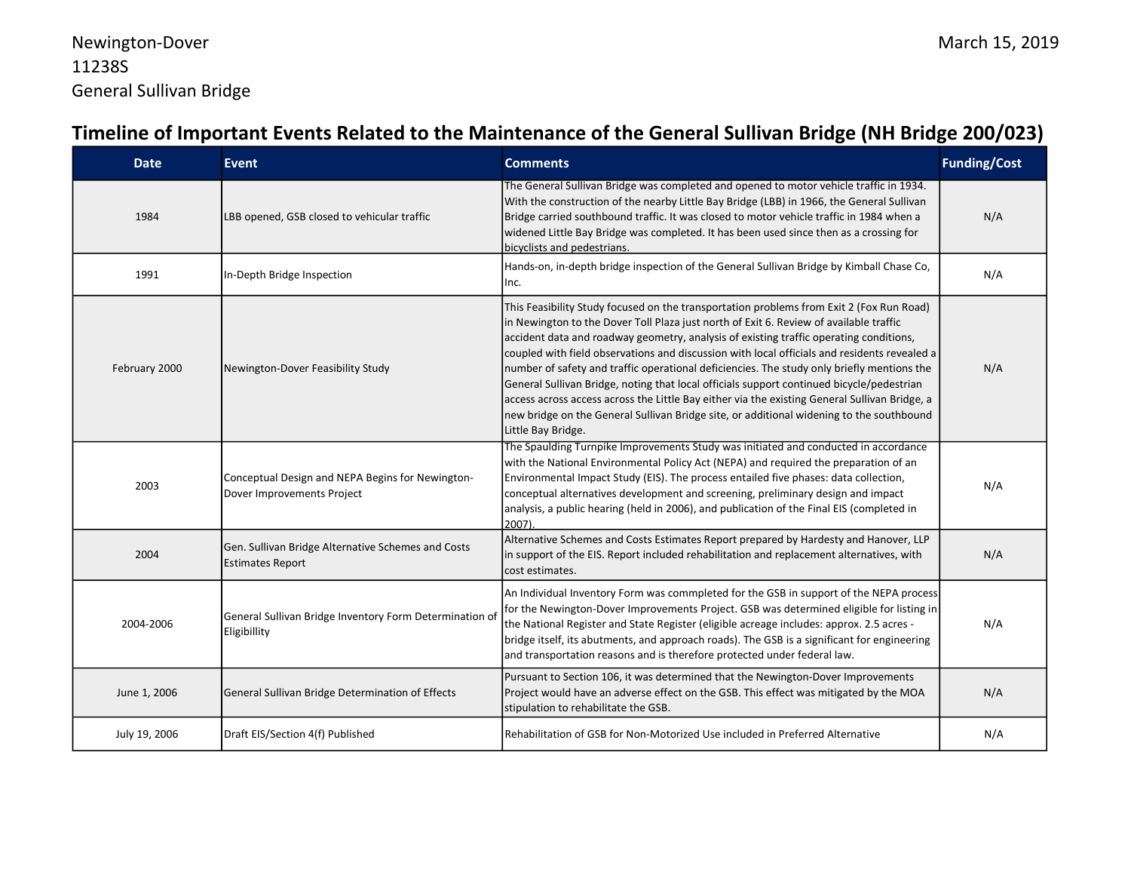| <b>Date</b>   | <b>Event</b>                                                                   | <b>Comments</b>                                                                                                                                                                                                                                                                                                                                                                                                                                                                                                                                                                                                                                                                                                                                                                            | <b>Funding/Cost</b> |
|---------------|--------------------------------------------------------------------------------|--------------------------------------------------------------------------------------------------------------------------------------------------------------------------------------------------------------------------------------------------------------------------------------------------------------------------------------------------------------------------------------------------------------------------------------------------------------------------------------------------------------------------------------------------------------------------------------------------------------------------------------------------------------------------------------------------------------------------------------------------------------------------------------------|---------------------|
| 1984          | LBB opened, GSB closed to vehicular traffic                                    | The General Sullivan Bridge was completed and opened to motor vehicle traffic in 1934.<br>With the construction of the nearby Little Bay Bridge (LBB) in 1966, the General Sullivan<br>Bridge carried southbound traffic. It was closed to motor vehicle traffic in 1984 when a<br>widened Little Bay Bridge was completed. It has been used since then as a crossing for<br>bicyclists and pedestrians.                                                                                                                                                                                                                                                                                                                                                                                   | N/A                 |
| 1991          | In-Depth Bridge Inspection                                                     | Hands-on, in-depth bridge inspection of the General Sullivan Bridge by Kimball Chase Co,<br>Inc.                                                                                                                                                                                                                                                                                                                                                                                                                                                                                                                                                                                                                                                                                           | N/A                 |
| February 2000 | Newington-Dover Feasibility Study                                              | This Feasibility Study focused on the transportation problems from Exit 2 (Fox Run Road)<br>in Newington to the Dover Toll Plaza just north of Exit 6. Review of available traffic<br>accident data and roadway geometry, analysis of existing traffic operating conditions,<br>coupled with field observations and discussion with local officials and residents revealed a<br>number of safety and traffic operational deficiencies. The study only briefly mentions the<br>General Sullivan Bridge, noting that local officials support continued bicycle/pedestrian<br>access across access across the Little Bay either via the existing General Sullivan Bridge, a<br>new bridge on the General Sullivan Bridge site, or additional widening to the southbound<br>Little Bay Bridge. | N/A                 |
| 2003          | Conceptual Design and NEPA Begins for Newington-<br>Dover Improvements Project | The Spaulding Turnpike Improvements Study was initiated and conducted in accordance<br>with the National Environmental Policy Act (NEPA) and required the preparation of an<br>Environmental Impact Study (EIS). The process entailed five phases: data collection,<br>conceptual alternatives development and screening, preliminary design and impact<br>analysis, a public hearing (held in 2006), and publication of the Final EIS (completed in<br>2007)                                                                                                                                                                                                                                                                                                                              | N/A                 |
| 2004          | Gen. Sullivan Bridge Alternative Schemes and Costs<br><b>Estimates Report</b>  | Alternative Schemes and Costs Estimates Report prepared by Hardesty and Hanover, LLP<br>in support of the EIS. Report included rehabilitation and replacement alternatives, with<br>cost estimates.                                                                                                                                                                                                                                                                                                                                                                                                                                                                                                                                                                                        | N/A                 |
| 2004-2006     | General Sullivan Bridge Inventory Form Determination of<br>Eligibillity        | An Individual Inventory Form was commpleted for the GSB in support of the NEPA process<br>for the Newington-Dover Improvements Project. GSB was determined eligible for listing in<br>the National Register and State Register (eligible acreage includes: approx. 2.5 acres -<br>bridge itself, its abutments, and approach roads). The GSB is a significant for engineering<br>and transportation reasons and is therefore protected under federal law.                                                                                                                                                                                                                                                                                                                                  | N/A                 |
| June 1, 2006  | General Sullivan Bridge Determination of Effects                               | Pursuant to Section 106, it was determined that the Newington-Dover Improvements<br>Project would have an adverse effect on the GSB. This effect was mitigated by the MOA<br>stipulation to rehabilitate the GSB.                                                                                                                                                                                                                                                                                                                                                                                                                                                                                                                                                                          | N/A                 |
| July 19, 2006 | Draft EIS/Section 4(f) Published                                               | Rehabilitation of GSB for Non-Motorized Use included in Preferred Alternative                                                                                                                                                                                                                                                                                                                                                                                                                                                                                                                                                                                                                                                                                                              | N/A                 |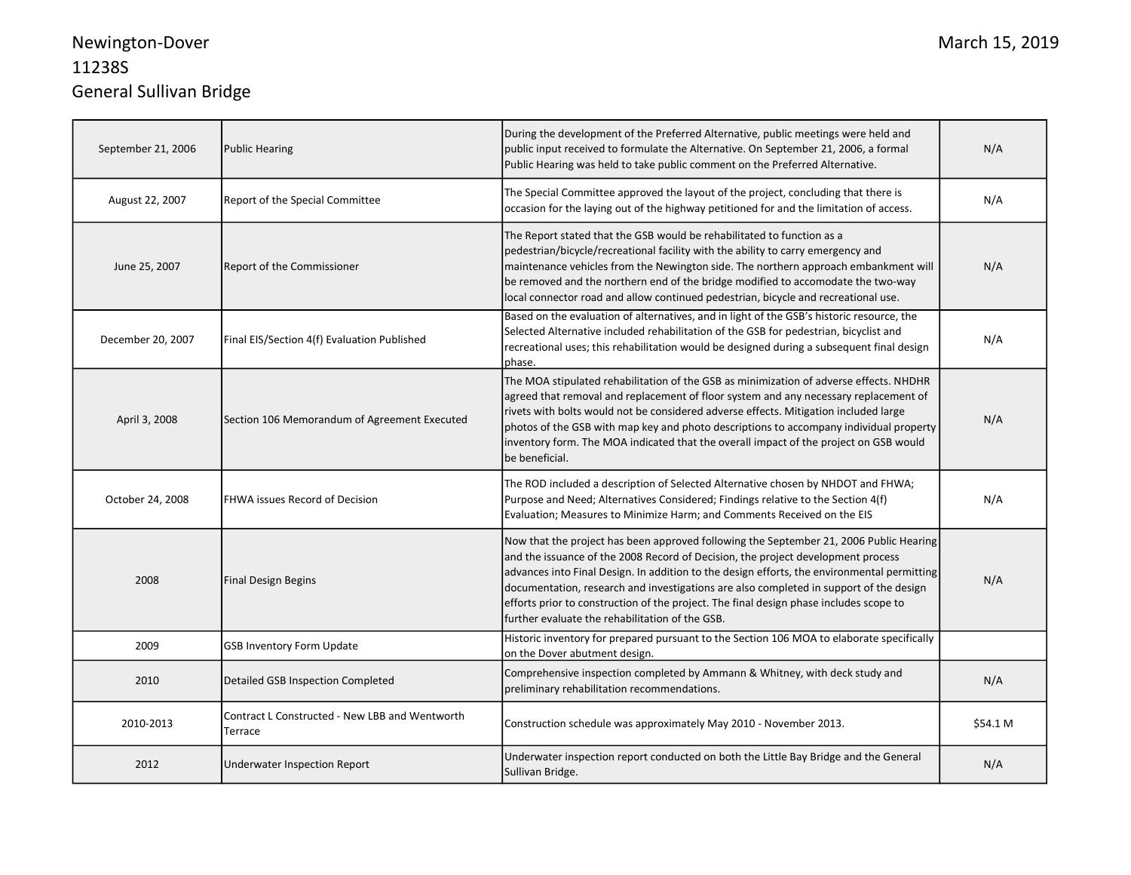## Newington-Dover 11238S General Sullivan Bridge

| September 21, 2006 | <b>Public Hearing</b>                                     | During the development of the Preferred Alternative, public meetings were held and<br>public input received to formulate the Alternative. On September 21, 2006, a formal<br>Public Hearing was held to take public comment on the Preferred Alternative.                                                                                                                                                                                                                                                        | N/A      |
|--------------------|-----------------------------------------------------------|------------------------------------------------------------------------------------------------------------------------------------------------------------------------------------------------------------------------------------------------------------------------------------------------------------------------------------------------------------------------------------------------------------------------------------------------------------------------------------------------------------------|----------|
| August 22, 2007    | Report of the Special Committee                           | The Special Committee approved the layout of the project, concluding that there is<br>occasion for the laying out of the highway petitioned for and the limitation of access.                                                                                                                                                                                                                                                                                                                                    | N/A      |
| June 25, 2007      | Report of the Commissioner                                | The Report stated that the GSB would be rehabilitated to function as a<br>pedestrian/bicycle/recreational facility with the ability to carry emergency and<br>maintenance vehicles from the Newington side. The northern approach embankment will<br>be removed and the northern end of the bridge modified to accomodate the two-way<br>local connector road and allow continued pedestrian, bicycle and recreational use.                                                                                      | N/A      |
| December 20, 2007  | Final EIS/Section 4(f) Evaluation Published               | Based on the evaluation of alternatives, and in light of the GSB's historic resource, the<br>Selected Alternative included rehabilitation of the GSB for pedestrian, bicyclist and<br>recreational uses; this rehabilitation would be designed during a subsequent final design<br>phase.                                                                                                                                                                                                                        | N/A      |
| April 3, 2008      | Section 106 Memorandum of Agreement Executed              | The MOA stipulated rehabilitation of the GSB as minimization of adverse effects. NHDHR<br>agreed that removal and replacement of floor system and any necessary replacement of<br>rivets with bolts would not be considered adverse effects. Mitigation included large<br>photos of the GSB with map key and photo descriptions to accompany individual property<br>inventory form. The MOA indicated that the overall impact of the project on GSB would<br>be beneficial.                                      | N/A      |
| October 24, 2008   | FHWA issues Record of Decision                            | The ROD included a description of Selected Alternative chosen by NHDOT and FHWA;<br>Purpose and Need; Alternatives Considered; Findings relative to the Section 4(f)<br>Evaluation; Measures to Minimize Harm; and Comments Received on the EIS                                                                                                                                                                                                                                                                  | N/A      |
| 2008               | <b>Final Design Begins</b>                                | Now that the project has been approved following the September 21, 2006 Public Hearing<br>and the issuance of the 2008 Record of Decision, the project development process<br>advances into Final Design. In addition to the design efforts, the environmental permitting<br>documentation, research and investigations are also completed in support of the design<br>efforts prior to construction of the project. The final design phase includes scope to<br>further evaluate the rehabilitation of the GSB. | N/A      |
| 2009               | <b>GSB Inventory Form Update</b>                          | Historic inventory for prepared pursuant to the Section 106 MOA to elaborate specifically<br>on the Dover abutment design.                                                                                                                                                                                                                                                                                                                                                                                       |          |
| 2010               | Detailed GSB Inspection Completed                         | Comprehensive inspection completed by Ammann & Whitney, with deck study and<br>preliminary rehabilitation recommendations.                                                                                                                                                                                                                                                                                                                                                                                       | N/A      |
| 2010-2013          | Contract L Constructed - New LBB and Wentworth<br>Terrace | Construction schedule was approximately May 2010 - November 2013.                                                                                                                                                                                                                                                                                                                                                                                                                                                | \$54.1 M |
| 2012               | Underwater Inspection Report                              | Underwater inspection report conducted on both the Little Bay Bridge and the General<br>Sullivan Bridge.                                                                                                                                                                                                                                                                                                                                                                                                         | N/A      |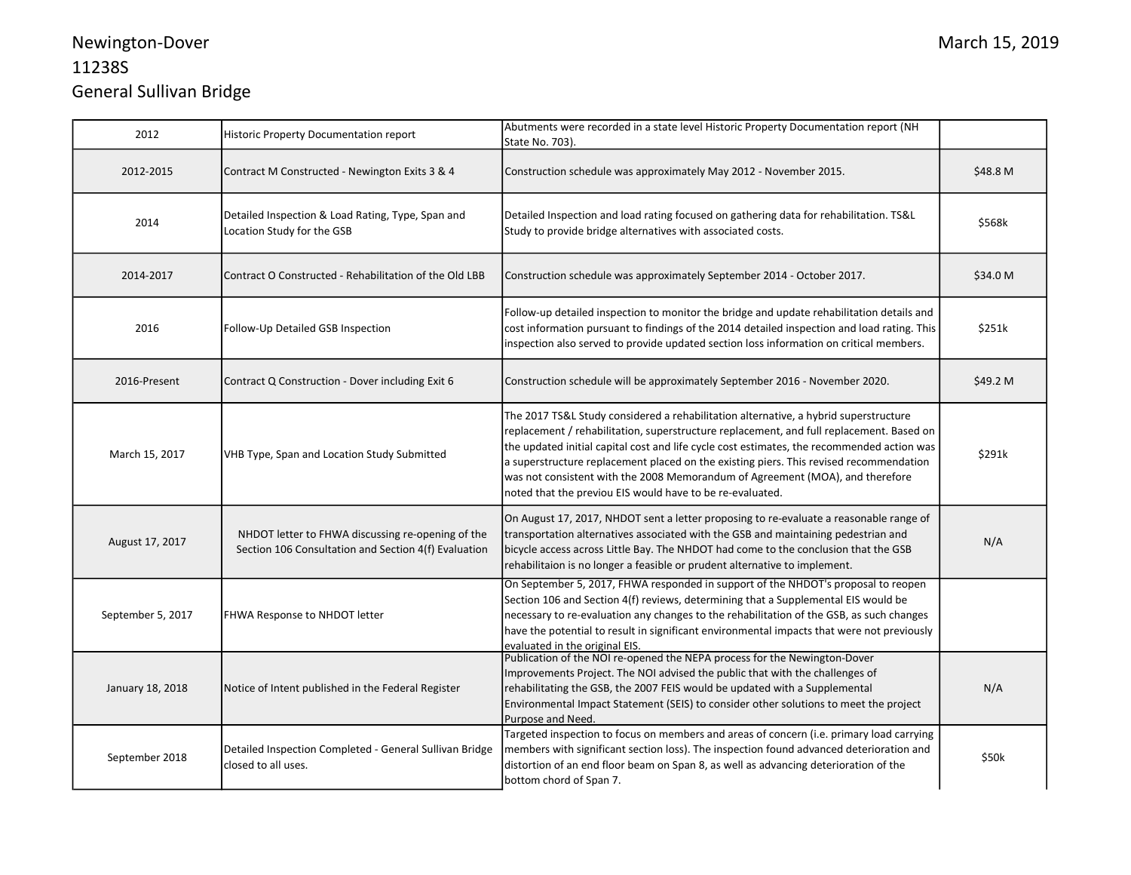## Newington-Dover 11238S General Sullivan Bridge

| 2012              | Historic Property Documentation report                                                                    | Abutments were recorded in a state level Historic Property Documentation report (NH<br>State No. 703).                                                                                                                                                                                                                                                                                                                                                                                                                 |          |
|-------------------|-----------------------------------------------------------------------------------------------------------|------------------------------------------------------------------------------------------------------------------------------------------------------------------------------------------------------------------------------------------------------------------------------------------------------------------------------------------------------------------------------------------------------------------------------------------------------------------------------------------------------------------------|----------|
| 2012-2015         | Contract M Constructed - Newington Exits 3 & 4                                                            | Construction schedule was approximately May 2012 - November 2015.                                                                                                                                                                                                                                                                                                                                                                                                                                                      | \$48.8 M |
| 2014              | Detailed Inspection & Load Rating, Type, Span and<br>Location Study for the GSB                           | Detailed Inspection and load rating focused on gathering data for rehabilitation. TS&L<br>Study to provide bridge alternatives with associated costs.                                                                                                                                                                                                                                                                                                                                                                  | \$568k   |
| 2014-2017         | Contract O Constructed - Rehabilitation of the Old LBB                                                    | Construction schedule was approximately September 2014 - October 2017.                                                                                                                                                                                                                                                                                                                                                                                                                                                 | \$34.0 M |
| 2016              | Follow-Up Detailed GSB Inspection                                                                         | Follow-up detailed inspection to monitor the bridge and update rehabilitation details and<br>cost information pursuant to findings of the 2014 detailed inspection and load rating. This<br>inspection also served to provide updated section loss information on critical members.                                                                                                                                                                                                                                    | \$251k   |
| 2016-Present      | Contract Q Construction - Dover including Exit 6                                                          | Construction schedule will be approximately September 2016 - November 2020.                                                                                                                                                                                                                                                                                                                                                                                                                                            | \$49.2 M |
| March 15, 2017    | VHB Type, Span and Location Study Submitted                                                               | The 2017 TS&L Study considered a rehabilitation alternative, a hybrid superstructure<br>replacement / rehabilitation, superstructure replacement, and full replacement. Based on<br>the updated initial capital cost and life cycle cost estimates, the recommended action was<br>a superstructure replacement placed on the existing piers. This revised recommendation<br>was not consistent with the 2008 Memorandum of Agreement (MOA), and therefore<br>noted that the previou EIS would have to be re-evaluated. | \$291k   |
| August 17, 2017   | NHDOT letter to FHWA discussing re-opening of the<br>Section 106 Consultation and Section 4(f) Evaluation | On August 17, 2017, NHDOT sent a letter proposing to re-evaluate a reasonable range of<br>transportation alternatives associated with the GSB and maintaining pedestrian and<br>bicycle access across Little Bay. The NHDOT had come to the conclusion that the GSB<br>rehabilitaion is no longer a feasible or prudent alternative to implement.                                                                                                                                                                      | N/A      |
| September 5, 2017 | FHWA Response to NHDOT letter                                                                             | On September 5, 2017, FHWA responded in support of the NHDOT's proposal to reopen<br>Section 106 and Section 4(f) reviews, determining that a Supplemental EIS would be<br>necessary to re-evaluation any changes to the rehabilitation of the GSB, as such changes<br>have the potential to result in significant environmental impacts that were not previously<br>evaluated in the original EIS.                                                                                                                    |          |
| January 18, 2018  | Notice of Intent published in the Federal Register                                                        | Publication of the NOI re-opened the NEPA process for the Newington-Dover<br>Improvements Project. The NOI advised the public that with the challenges of<br>rehabilitating the GSB, the 2007 FEIS would be updated with a Supplemental<br>Environmental Impact Statement (SEIS) to consider other solutions to meet the project<br>Purpose and Need.                                                                                                                                                                  | N/A      |
| September 2018    | Detailed Inspection Completed - General Sullivan Bridge<br>closed to all uses.                            | Targeted inspection to focus on members and areas of concern (i.e. primary load carrying<br>members with significant section loss). The inspection found advanced deterioration and<br>distortion of an end floor beam on Span 8, as well as advancing deterioration of the<br>bottom chord of Span 7.                                                                                                                                                                                                                 | \$50k    |